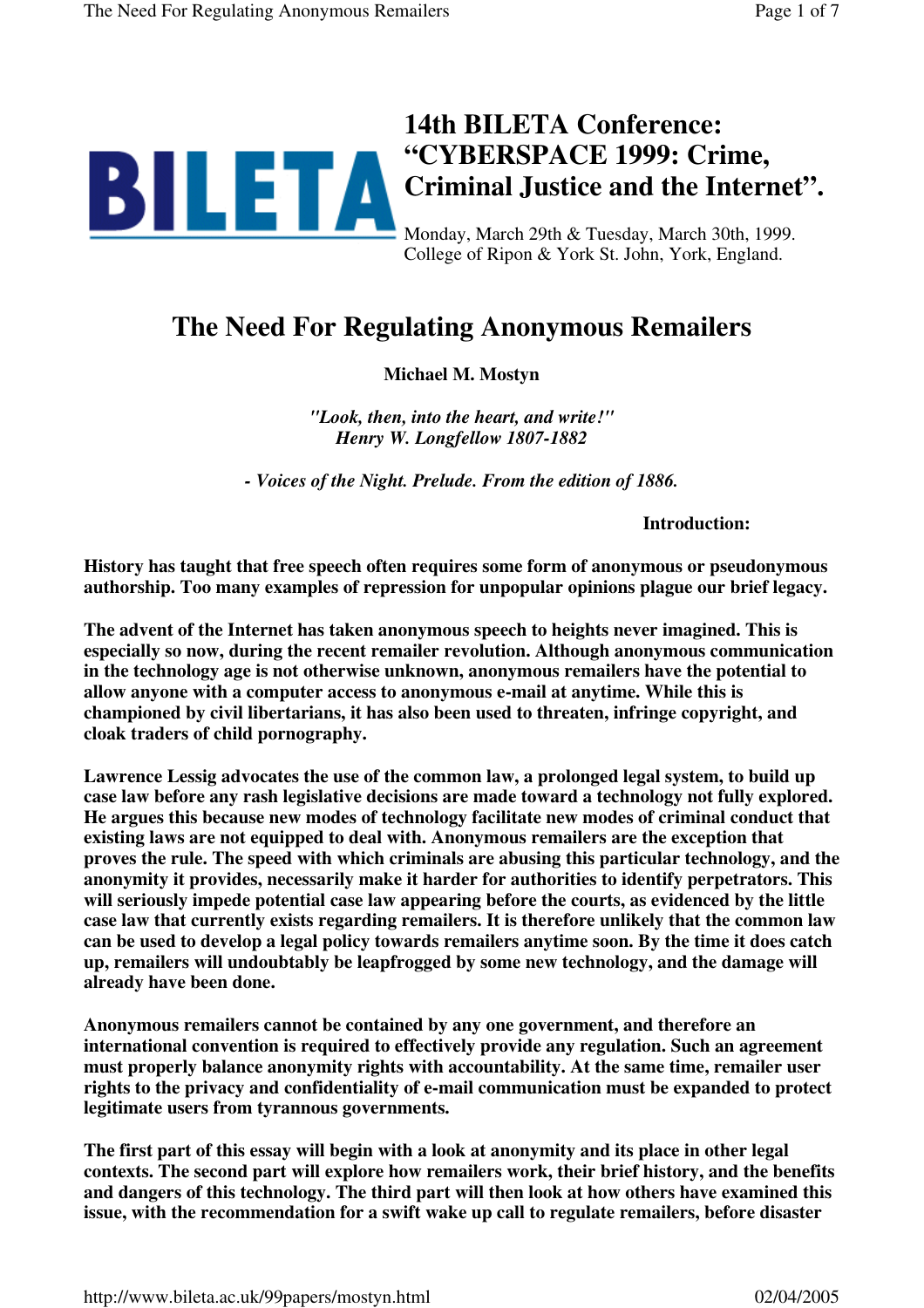

College of Ripon & York St. John, York, England.

# **The Need For Regulating Anonymous Remailers**

**Michael M. Mostyn**

*"Look, then, into the heart, and write!" Henry W. Longfellow 1807-1882*

*- Voices of the Night. Prelude. From the edition of 1886.*

**Introduction:**

**History has taught that free speech often requires some form of anonymous or pseudonymous authorship. Too many examples of repression for unpopular opinions plague our brief legacy.**

**The advent of the Internet has taken anonymous speech to heights never imagined. This is especially so now, during the recent remailer revolution. Although anonymous communication in the technology age is not otherwise unknown, anonymous remailers have the potential to allow anyone with a computer access to anonymous e-mail at anytime. While this is championed by civil libertarians, it has also been used to threaten, infringe copyright, and cloak traders of child pornography.**

**Lawrence Lessig advocates the use of the common law, a prolonged legal system, to build up case law before any rash legislative decisions are made toward a technology not fully explored. He argues this because new modes of technology facilitate new modes of criminal conduct that existing laws are not equipped to deal with. Anonymous remailers are the exception that proves the rule. The speed with which criminals are abusing this particular technology, and the anonymity it provides, necessarily make it harder for authorities to identify perpetrators. This will seriously impede potential case law appearing before the courts, as evidenced by the little case law that currently exists regarding remailers. It is therefore unlikely that the common law can be used to develop a legal policy towards remailers anytime soon. By the time it does catch up, remailers will undoubtably be leapfrogged by some new technology, and the damage will already have been done.**

**Anonymous remailers cannot be contained by any one government, and therefore an international convention is required to effectively provide any regulation. Such an agreement must properly balance anonymity rights with accountability. At the same time, remailer user rights to the privacy and confidentiality of e-mail communication must be expanded to protect legitimate users from tyrannous governments.**

**The first part of this essay will begin with a look at anonymity and its place in other legal contexts. The second part will explore how remailers work, their brief history, and the benefits and dangers of this technology. The third part will then look at how others have examined this issue, with the recommendation for a swift wake up call to regulate remailers, before disaster**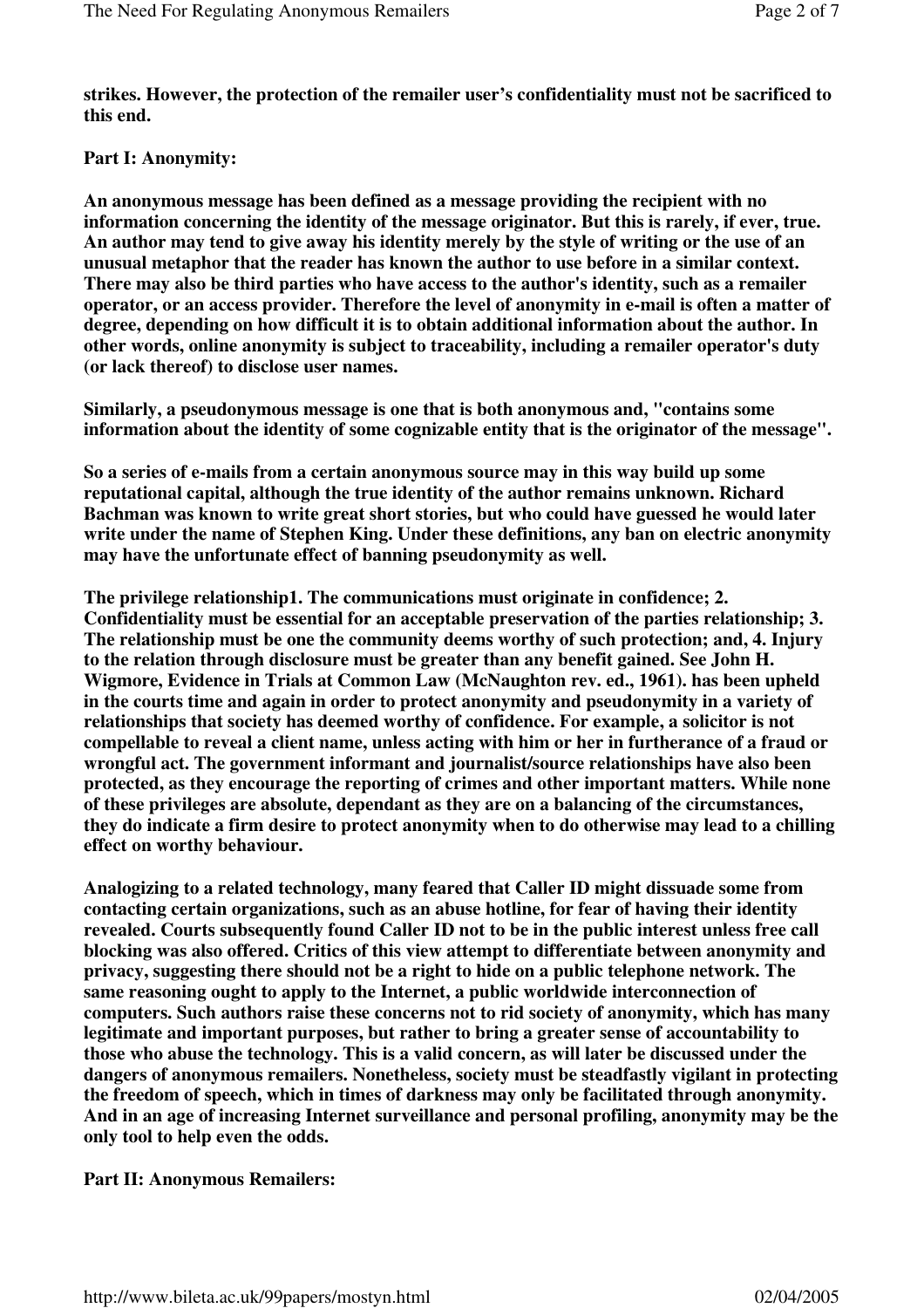**strikes. However, the protection of the remailer user's confidentiality must not be sacrificed to this end.**

## **Part I: Anonymity:**

**An anonymous message has been defined as a message providing the recipient with no information concerning the identity of the message originator. But this is rarely, if ever, true. An author may tend to give away his identity merely by the style of writing or the use of an unusual metaphor that the reader has known the author to use before in a similar context. There may also be third parties who have access to the author's identity, such as a remailer operator, or an access provider. Therefore the level of anonymity in e-mail is often a matter of degree, depending on how difficult it is to obtain additional information about the author. In other words, online anonymity is subject to traceability, including a remailer operator's duty (or lack thereof) to disclose user names.**

**Similarly, a pseudonymous message is one that is both anonymous and, "contains some information about the identity of some cognizable entity that is the originator of the message".**

**So a series of e-mails from a certain anonymous source may in this way build up some reputational capital, although the true identity of the author remains unknown. Richard Bachman was known to write great short stories, but who could have guessed he would later write under the name of Stephen King. Under these definitions, any ban on electric anonymity may have the unfortunate effect of banning pseudonymity as well.**

**The privilege relationship1. The communications must originate in confidence; 2. Confidentiality must be essential for an acceptable preservation of the parties relationship; 3. The relationship must be one the community deems worthy of such protection; and, 4. Injury to the relation through disclosure must be greater than any benefit gained. See John H. Wigmore, Evidence in Trials at Common Law (McNaughton rev. ed., 1961). has been upheld in the courts time and again in order to protect anonymity and pseudonymity in a variety of relationships that society has deemed worthy of confidence. For example, a solicitor is not compellable to reveal a client name, unless acting with him or her in furtherance of a fraud or wrongful act. The government informant and journalist/source relationships have also been protected, as they encourage the reporting of crimes and other important matters. While none of these privileges are absolute, dependant as they are on a balancing of the circumstances, they do indicate a firm desire to protect anonymity when to do otherwise may lead to a chilling effect on worthy behaviour.**

**Analogizing to a related technology, many feared that Caller ID might dissuade some from contacting certain organizations, such as an abuse hotline, for fear of having their identity revealed. Courts subsequently found Caller ID not to be in the public interest unless free call blocking was also offered. Critics of this view attempt to differentiate between anonymity and privacy, suggesting there should not be a right to hide on a public telephone network. The same reasoning ought to apply to the Internet, a public worldwide interconnection of computers. Such authors raise these concerns not to rid society of anonymity, which has many legitimate and important purposes, but rather to bring a greater sense of accountability to those who abuse the technology. This is a valid concern, as will later be discussed under the dangers of anonymous remailers. Nonetheless, society must be steadfastly vigilant in protecting the freedom of speech, which in times of darkness may only be facilitated through anonymity. And in an age of increasing Internet surveillance and personal profiling, anonymity may be the only tool to help even the odds.**

#### **Part II: Anonymous Remailers:**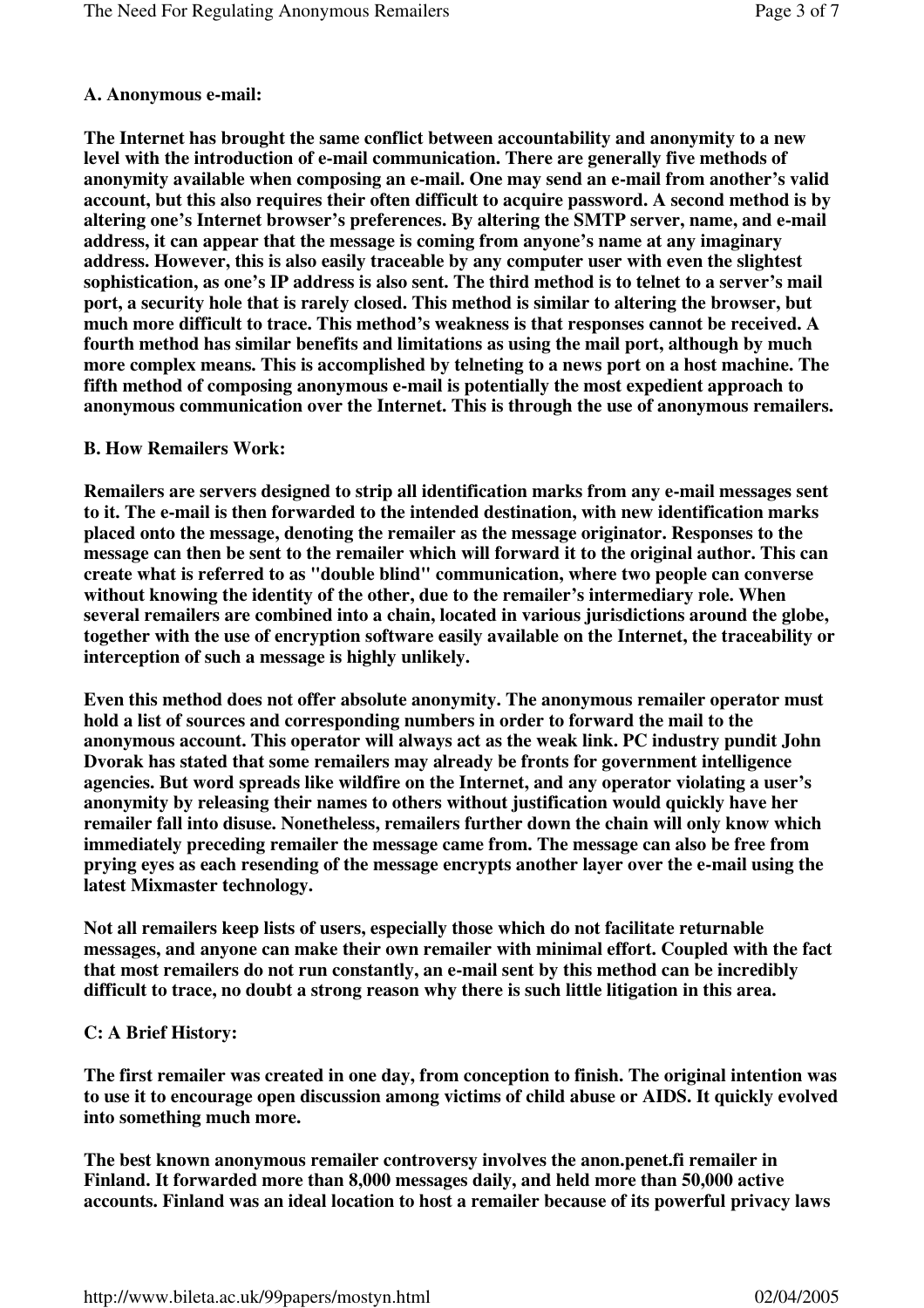## **A. Anonymous e-mail:**

**The Internet has brought the same conflict between accountability and anonymity to a new level with the introduction of e-mail communication. There are generally five methods of anonymity available when composing an e-mail. One may send an e-mail from another's valid account, but this also requires their often difficult to acquire password. A second method is by altering one's Internet browser's preferences. By altering the SMTP server, name, and e-mail address, it can appear that the message is coming from anyone's name at any imaginary address. However, this is also easily traceable by any computer user with even the slightest sophistication, as one's IP address is also sent. The third method is to telnet to a server's mail port, a security hole that is rarely closed. This method is similar to altering the browser, but much more difficult to trace. This method's weakness is that responses cannot be received. A fourth method has similar benefits and limitations as using the mail port, although by much more complex means. This is accomplished by telneting to a news port on a host machine. The fifth method of composing anonymous e-mail is potentially the most expedient approach to anonymous communication over the Internet. This is through the use of anonymous remailers.**

## **B. How Remailers Work:**

**Remailers are servers designed to strip all identification marks from any e-mail messages sent to it. The e-mail is then forwarded to the intended destination, with new identification marks placed onto the message, denoting the remailer as the message originator. Responses to the message can then be sent to the remailer which will forward it to the original author. This can create what is referred to as "double blind" communication, where two people can converse without knowing the identity of the other, due to the remailer's intermediary role. When several remailers are combined into a chain, located in various jurisdictions around the globe, together with the use of encryption software easily available on the Internet, the traceability or interception of such a message is highly unlikely.**

**Even this method does not offer absolute anonymity. The anonymous remailer operator must hold a list of sources and corresponding numbers in order to forward the mail to the anonymous account. This operator will always act as the weak link. PC industry pundit John Dvorak has stated that some remailers may already be fronts for government intelligence agencies. But word spreads like wildfire on the Internet, and any operator violating a user's anonymity by releasing their names to others without justification would quickly have her remailer fall into disuse. Nonetheless, remailers further down the chain will only know which immediately preceding remailer the message came from. The message can also be free from prying eyes as each resending of the message encrypts another layer over the e-mail using the latest Mixmaster technology.**

**Not all remailers keep lists of users, especially those which do not facilitate returnable messages, and anyone can make their own remailer with minimal effort. Coupled with the fact that most remailers do not run constantly, an e-mail sent by this method can be incredibly difficult to trace, no doubt a strong reason why there is such little litigation in this area.**

# **C: A Brief History:**

**The first remailer was created in one day, from conception to finish. The original intention was to use it to encourage open discussion among victims of child abuse or AIDS. It quickly evolved into something much more.**

**The best known anonymous remailer controversy involves the anon.penet.fi remailer in Finland. It forwarded more than 8,000 messages daily, and held more than 50,000 active accounts. Finland was an ideal location to host a remailer because of its powerful privacy laws**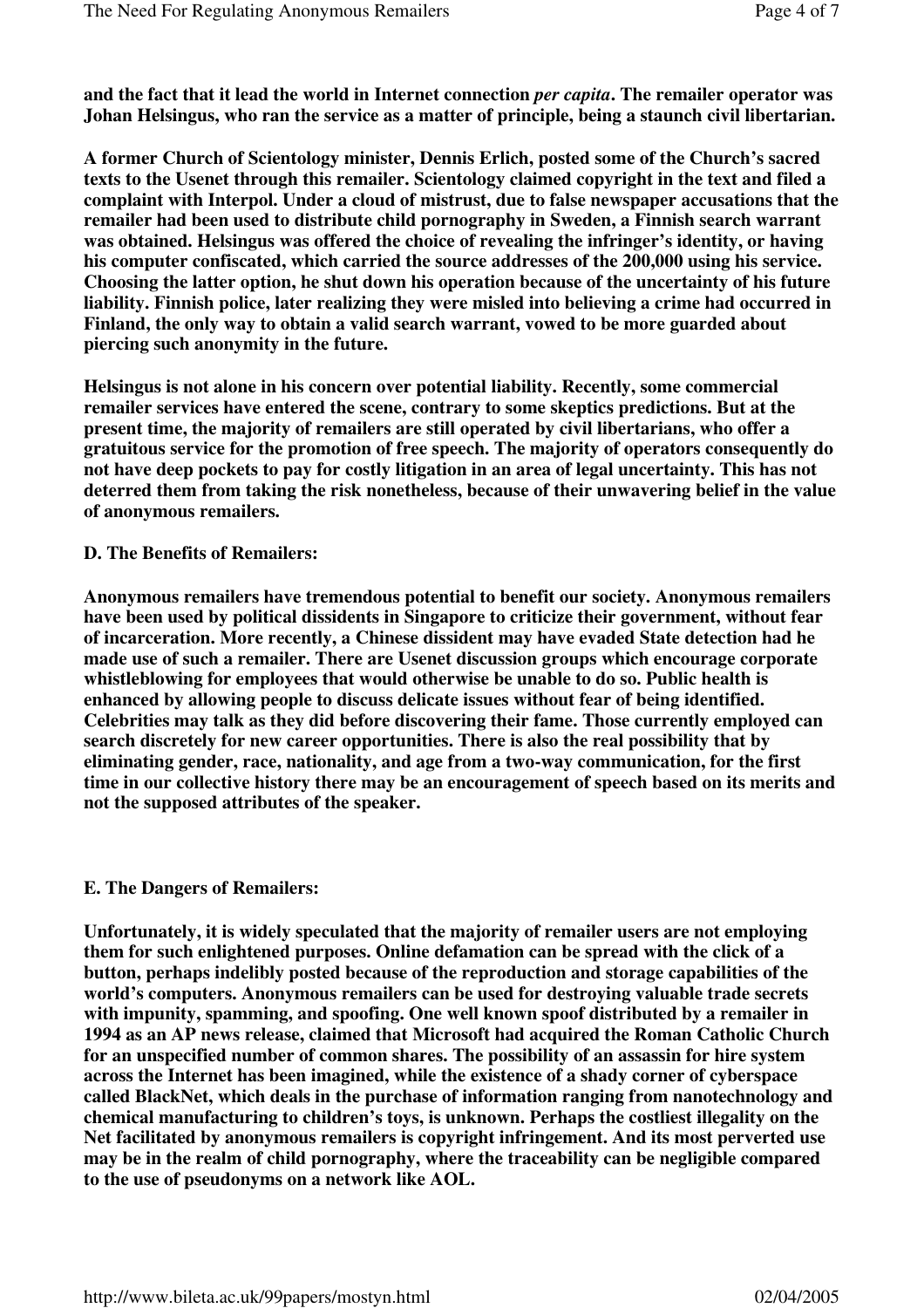**and the fact that it lead the world in Internet connection** *per capita***. The remailer operator was Johan Helsingus, who ran the service as a matter of principle, being a staunch civil libertarian.**

**A former Church of Scientology minister, Dennis Erlich, posted some of the Church's sacred texts to the Usenet through this remailer. Scientology claimed copyright in the text and filed a complaint with Interpol. Under a cloud of mistrust, due to false newspaper accusations that the remailer had been used to distribute child pornography in Sweden, a Finnish search warrant was obtained. Helsingus was offered the choice of revealing the infringer's identity, or having his computer confiscated, which carried the source addresses of the 200,000 using his service. Choosing the latter option, he shut down his operation because of the uncertainty of his future liability. Finnish police, later realizing they were misled into believing a crime had occurred in Finland, the only way to obtain a valid search warrant, vowed to be more guarded about piercing such anonymity in the future.**

**Helsingus is not alone in his concern over potential liability. Recently, some commercial remailer services have entered the scene, contrary to some skeptics predictions. But at the present time, the majority of remailers are still operated by civil libertarians, who offer a gratuitous service for the promotion of free speech. The majority of operators consequently do not have deep pockets to pay for costly litigation in an area of legal uncertainty. This has not deterred them from taking the risk nonetheless, because of their unwavering belief in the value of anonymous remailers.**

### **D. The Benefits of Remailers:**

**Anonymous remailers have tremendous potential to benefit our society. Anonymous remailers have been used by political dissidents in Singapore to criticize their government, without fear of incarceration. More recently, a Chinese dissident may have evaded State detection had he made use of such a remailer. There are Usenet discussion groups which encourage corporate whistleblowing for employees that would otherwise be unable to do so. Public health is enhanced by allowing people to discuss delicate issues without fear of being identified. Celebrities may talk as they did before discovering their fame. Those currently employed can search discretely for new career opportunities. There is also the real possibility that by eliminating gender, race, nationality, and age from a two-way communication, for the first time in our collective history there may be an encouragement of speech based on its merits and not the supposed attributes of the speaker.**

#### **E. The Dangers of Remailers:**

**Unfortunately, it is widely speculated that the majority of remailer users are not employing them for such enlightened purposes. Online defamation can be spread with the click of a button, perhaps indelibly posted because of the reproduction and storage capabilities of the world's computers. Anonymous remailers can be used for destroying valuable trade secrets with impunity, spamming, and spoofing. One well known spoof distributed by a remailer in 1994 as an AP news release, claimed that Microsoft had acquired the Roman Catholic Church for an unspecified number of common shares. The possibility of an assassin for hire system across the Internet has been imagined, while the existence of a shady corner of cyberspace called BlackNet, which deals in the purchase of information ranging from nanotechnology and chemical manufacturing to children's toys, is unknown. Perhaps the costliest illegality on the Net facilitated by anonymous remailers is copyright infringement. And its most perverted use may be in the realm of child pornography, where the traceability can be negligible compared to the use of pseudonyms on a network like AOL.**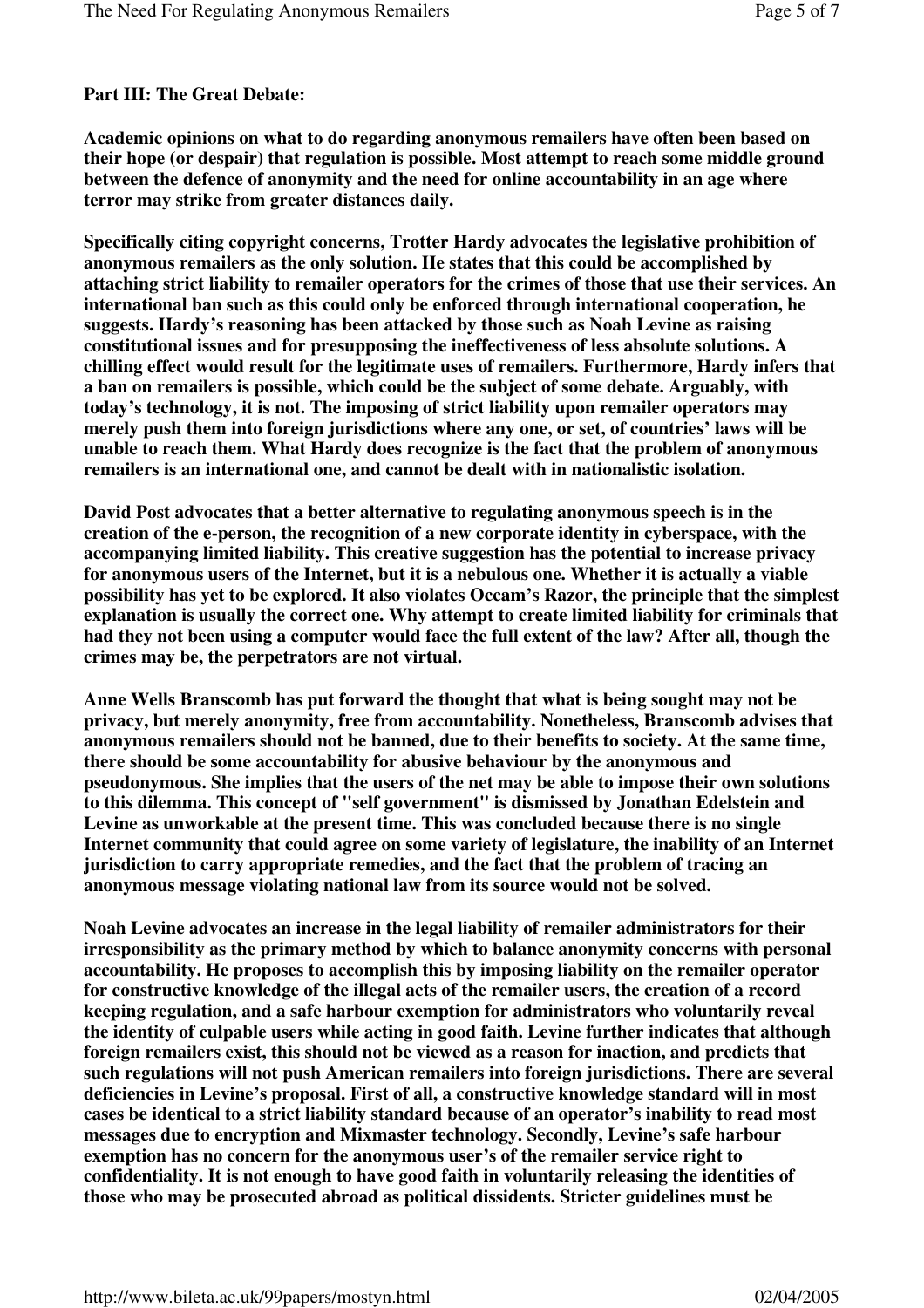## **Part III: The Great Debate:**

**Academic opinions on what to do regarding anonymous remailers have often been based on their hope (or despair) that regulation is possible. Most attempt to reach some middle ground between the defence of anonymity and the need for online accountability in an age where terror may strike from greater distances daily.**

**Specifically citing copyright concerns, Trotter Hardy advocates the legislative prohibition of anonymous remailers as the only solution. He states that this could be accomplished by attaching strict liability to remailer operators for the crimes of those that use their services. An international ban such as this could only be enforced through international cooperation, he suggests. Hardy's reasoning has been attacked by those such as Noah Levine as raising constitutional issues and for presupposing the ineffectiveness of less absolute solutions. A chilling effect would result for the legitimate uses of remailers. Furthermore, Hardy infers that a ban on remailers is possible, which could be the subject of some debate. Arguably, with today's technology, it is not. The imposing of strict liability upon remailer operators may merely push them into foreign jurisdictions where any one, or set, of countries' laws will be unable to reach them. What Hardy does recognize is the fact that the problem of anonymous remailers is an international one, and cannot be dealt with in nationalistic isolation.**

**David Post advocates that a better alternative to regulating anonymous speech is in the creation of the e-person, the recognition of a new corporate identity in cyberspace, with the accompanying limited liability. This creative suggestion has the potential to increase privacy for anonymous users of the Internet, but it is a nebulous one. Whether it is actually a viable possibility has yet to be explored. It also violates Occam's Razor, the principle that the simplest explanation is usually the correct one. Why attempt to create limited liability for criminals that had they not been using a computer would face the full extent of the law? After all, though the crimes may be, the perpetrators are not virtual.**

**Anne Wells Branscomb has put forward the thought that what is being sought may not be privacy, but merely anonymity, free from accountability. Nonetheless, Branscomb advises that anonymous remailers should not be banned, due to their benefits to society. At the same time, there should be some accountability for abusive behaviour by the anonymous and pseudonymous. She implies that the users of the net may be able to impose their own solutions to this dilemma. This concept of "self government" is dismissed by Jonathan Edelstein and Levine as unworkable at the present time. This was concluded because there is no single Internet community that could agree on some variety of legislature, the inability of an Internet jurisdiction to carry appropriate remedies, and the fact that the problem of tracing an anonymous message violating national law from its source would not be solved.**

**Noah Levine advocates an increase in the legal liability of remailer administrators for their irresponsibility as the primary method by which to balance anonymity concerns with personal accountability. He proposes to accomplish this by imposing liability on the remailer operator for constructive knowledge of the illegal acts of the remailer users, the creation of a record keeping regulation, and a safe harbour exemption for administrators who voluntarily reveal the identity of culpable users while acting in good faith. Levine further indicates that although foreign remailers exist, this should not be viewed as a reason for inaction, and predicts that such regulations will not push American remailers into foreign jurisdictions. There are several deficiencies in Levine's proposal. First of all, a constructive knowledge standard will in most cases be identical to a strict liability standard because of an operator's inability to read most messages due to encryption and Mixmaster technology. Secondly, Levine's safe harbour exemption has no concern for the anonymous user's of the remailer service right to confidentiality. It is not enough to have good faith in voluntarily releasing the identities of those who may be prosecuted abroad as political dissidents. Stricter guidelines must be**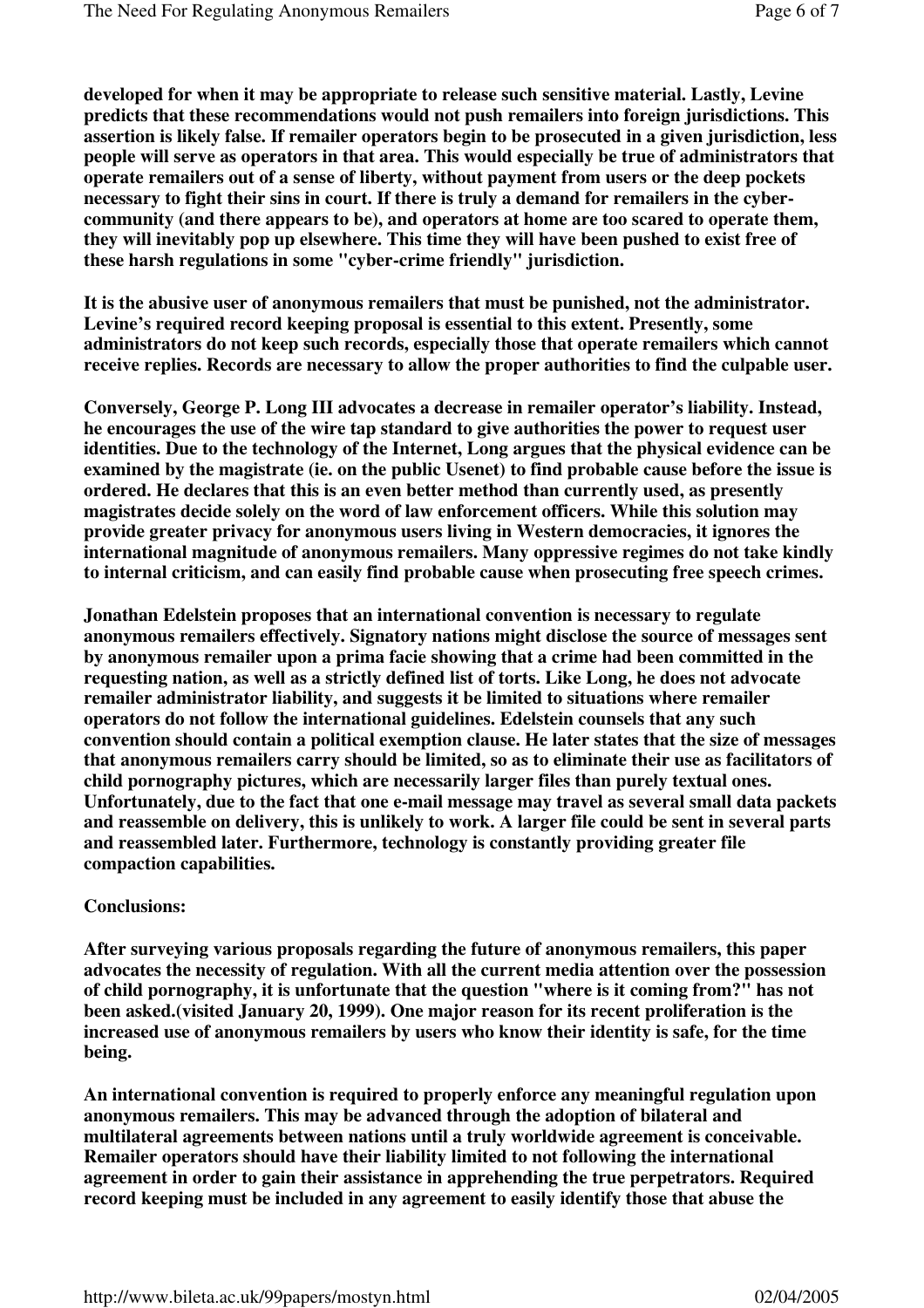**developed for when it may be appropriate to release such sensitive material. Lastly, Levine predicts that these recommendations would not push remailers into foreign jurisdictions. This assertion is likely false. If remailer operators begin to be prosecuted in a given jurisdiction, less people will serve as operators in that area. This would especially be true of administrators that operate remailers out of a sense of liberty, without payment from users or the deep pockets necessary to fight their sins in court. If there is truly a demand for remailers in the cybercommunity (and there appears to be), and operators at home are too scared to operate them, they will inevitably pop up elsewhere. This time they will have been pushed to exist free of these harsh regulations in some "cyber-crime friendly" jurisdiction.**

**It is the abusive user of anonymous remailers that must be punished, not the administrator. Levine's required record keeping proposal is essential to this extent. Presently, some administrators do not keep such records, especially those that operate remailers which cannot receive replies. Records are necessary to allow the proper authorities to find the culpable user.**

**Conversely, George P. Long III advocates a decrease in remailer operator's liability. Instead, he encourages the use of the wire tap standard to give authorities the power to request user identities. Due to the technology of the Internet, Long argues that the physical evidence can be examined by the magistrate (ie. on the public Usenet) to find probable cause before the issue is ordered. He declares that this is an even better method than currently used, as presently magistrates decide solely on the word of law enforcement officers. While this solution may provide greater privacy for anonymous users living in Western democracies, it ignores the international magnitude of anonymous remailers. Many oppressive regimes do not take kindly to internal criticism, and can easily find probable cause when prosecuting free speech crimes.**

**Jonathan Edelstein proposes that an international convention is necessary to regulate anonymous remailers effectively. Signatory nations might disclose the source of messages sent by anonymous remailer upon a prima facie showing that a crime had been committed in the requesting nation, as well as a strictly defined list of torts. Like Long, he does not advocate remailer administrator liability, and suggests it be limited to situations where remailer operators do not follow the international guidelines. Edelstein counsels that any such convention should contain a political exemption clause. He later states that the size of messages that anonymous remailers carry should be limited, so as to eliminate their use as facilitators of child pornography pictures, which are necessarily larger files than purely textual ones. Unfortunately, due to the fact that one e-mail message may travel as several small data packets and reassemble on delivery, this is unlikely to work. A larger file could be sent in several parts and reassembled later. Furthermore, technology is constantly providing greater file compaction capabilities.**

#### **Conclusions:**

**After surveying various proposals regarding the future of anonymous remailers, this paper advocates the necessity of regulation. With all the current media attention over the possession of child pornography, it is unfortunate that the question "where is it coming from?" has not been asked.(visited January 20, 1999). One major reason for its recent proliferation is the increased use of anonymous remailers by users who know their identity is safe, for the time being.**

**An international convention is required to properly enforce any meaningful regulation upon anonymous remailers. This may be advanced through the adoption of bilateral and multilateral agreements between nations until a truly worldwide agreement is conceivable. Remailer operators should have their liability limited to not following the international agreement in order to gain their assistance in apprehending the true perpetrators. Required record keeping must be included in any agreement to easily identify those that abuse the**